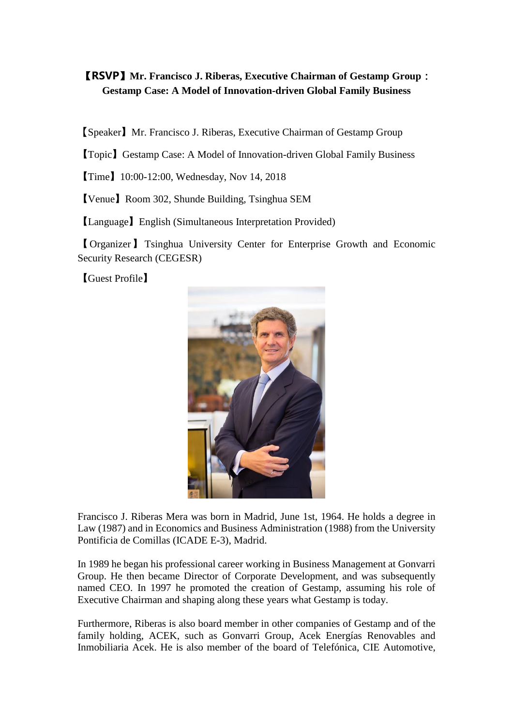## 【**RSVP**】**Mr. Francisco J. Riberas, Executive Chairman of Gestamp Group**: **Gestamp Case: A Model of Innovation-driven Global Family Business**

【Speaker】Mr. Francisco J. Riberas, Executive Chairman of Gestamp Group

【Topic】Gestamp Case: A Model of Innovation-driven Global Family Business

【Time】10:00-12:00, Wednesday, Nov 14, 2018

【Venue】Room 302, Shunde Building, Tsinghua SEM

【Language】English (Simultaneous Interpretation Provided)

【Organizer 】Tsinghua University Center for Enterprise Growth and Economic Security Research (CEGESR)

【Guest Profile】



Francisco J. Riberas Mera was born in Madrid, June 1st, 1964. He holds a degree in Law (1987) and in Economics and Business Administration (1988) from the University Pontificia de Comillas (ICADE E-3), Madrid.

In 1989 he began his professional career working in Business Management at Gonvarri Group. He then became Director of Corporate Development, and was subsequently named CEO. In 1997 he promoted the creation of Gestamp, assuming his role of Executive Chairman and shaping along these years what Gestamp is today.

Furthermore, Riberas is also board member in other companies of Gestamp and of the family holding, ACEK, such as Gonvarri Group, Acek Energías Renovables and Inmobiliaria Acek. He is also member of the board of Telefónica, CIE Automotive,